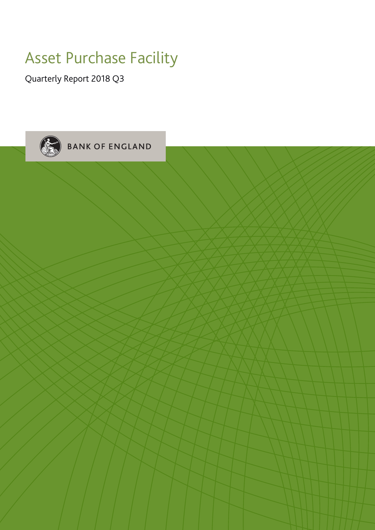## Asset Purchase Facility

Quarterly Report 2018 Q3

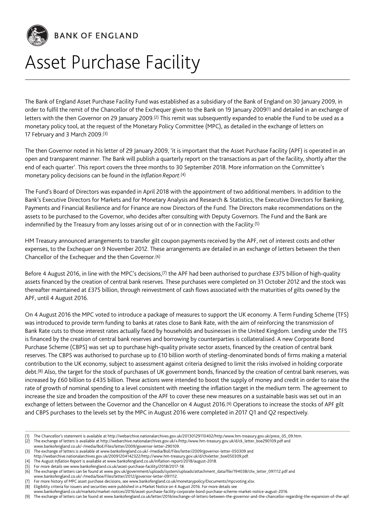

**BANK OF ENGLAND** 

# Asset Purchase Facility

The Bank of England Asset Purchase Facility Fund was established as a subsidiary of the Bank of England on 30 January 2009, in order to fulfil the remit of the Chancellor of the Exchequer given to the Bank on 19 January 2009(1) and detailed in an exchange of letters with the then Governor on 29 January 2009.(2) This remit was subsequently expanded to enable the Fund to be used as a monetary policy tool, at the request of the Monetary Policy Committee (MPC), as detailed in the exchange of letters on 17 February and 3 March 2009.(3)

The then Governor noted in his letter of 29 January 2009, 'it is important that the Asset Purchase Facility (APF) is operated in an open and transparent manner. The Bank will publish a quarterly report on the transactions as part of the facility, shortly after the end of each quarter'. This report covers the three months to 30 September 2018. More information on the Committee's monetary policy decisions can be found in the *Inflation Report*.(4)

The Fund's Board of Directors was expanded in April 2018 with the appointment of two additional members. In addition to the Bank's Executive Directors for Markets and for Monetary Analysis and Research & Statistics, the Executive Directors for Banking, Payments and Financial Resilience and for Finance are now Directors of the Fund. The Directors make recommendations on the assets to be purchased to the Governor, who decides after consulting with Deputy Governors. The Fund and the Bank are indemnified by the Treasury from any losses arising out of or in connection with the Facility.(5)

HM Treasury announced arrangements to transfer gilt coupon payments received by the APF, net of interest costs and other expenses, to the Exchequer on 9 November 2012. These arrangements are detailed in an exchange of letters between the then Chancellor of the Exchequer and the then Governor.(6)

Before 4 August 2016, in line with the MPC's decisions,(7) the APF had been authorised to purchase £375 billion of high-quality assets financed by the creation of central bank reserves. These purchases were completed on 31 October 2012 and the stock was thereafter maintained at £375 billion, through reinvestment of cash flows associated with the maturities of gilts owned by the APF, until 4 August 2016.

On 4 August 2016 the MPC voted to introduce a package of measures to support the UK economy. A Term Funding Scheme (TFS) was introduced to provide term funding to banks at rates close to Bank Rate, with the aim of reinforcing the transmission of Bank Rate cuts to those interest rates actually faced by households and businesses in the United Kingdom. Lending under the TFS is financed by the creation of central bank reserves and borrowing by counterparties is collateralised. A new Corporate Bond Purchase Scheme (CBPS) was set up to purchase high-quality private sector assets, financed by the creation of central bank reserves. The CBPS was authorised to purchase up to £10 billion worth of sterling-denominated bonds of firms making a material contribution to the UK economy, subject to assessment against criteria designed to limit the risks involved in holding corporate debt.(8) Also, the target for the stock of purchases of UK government bonds, financed by the creation of central bank reserves, was increased by £60 billion to £435 billion. These actions were intended to boost the supply of money and credit in order to raise the rate of growth of nominal spending to a level consistent with meeting the inflation target in the medium term. The agreement to increase the size and broaden the composition of the APF to cover these new measures on a sustainable basis was set out in an exchange of letters between the Governor and the Chancellor on 4 August 2016.(9) Operations to increase the stocks of APF gilt and CBPS purchases to the levels set by the MPC in August 2016 were completed in 2017 Q1 and Q2 respectively.

<sup>(1)</sup> The Chancellor's statement is available at [http://webarchive.nationalarchives.gov.uk/20130129110402/http:/www.hm-treasury.gov.uk/press\\_05\\_09.htm.](http://webarchive.nationalarchives.gov.uk/20130129110402/http:/www.hm-treasury.gov.uk/press_05_09.htm)

<sup>(2)</sup> The exchange of letters is available at [http://webarchive.nationalarchives.gov.uk/+/http:/www.hm-treasury.gov.uk/d/ck\\_letter\\_boe290109.pdf](http://webarchive.nationalarchives.gov.uk/+/http:/www.hm-treasury.gov.uk/d/ck_letter_boe290109.pdf) and

[www.bankofengland.co.uk/-/media/BoE/Files/letter/2009/governor-letter-290109.](www.bankofengland.co.uk/-/media/BoE/Files/letter/2009/governor-letter-290109)

<sup>(3)</sup> The exchange of letters is available at <www.bankofengland.co.uk/-/media/BoE/Files/letter/2009/governor-letter-050309> and

[http://webarchive.nationalarchives.gov.uk/20091204142322/http://www.hm-treasury.gov.uk/d/chxletter\\_boe050309.pdf.](http://webarchive.nationalarchives.gov.uk/20091204142322/http://www.hm-treasury.gov.uk/d/chxletter_boe050309.pdf) (4) The August *Inflation Report* is available at [www.bankofengland.co.uk/inflation-report/2018/august-2018.](www.bankofengland.co.uk/inflation-report/2018/august-2018)

<sup>(5)</sup> For more details see [www.bankofengland.co.uk/asset-purchase-facility/2018/2017-18.](www.bankofengland.co.uk/asset-purchase-facility/2018/2017-18)

<sup>(6)</sup> The exchange of letters can be found at [www.gov.uk/government/uploads/system/uploads/attachment\\_data/file/194038/chx\\_letter\\_091112.pdf](www.gov.uk/government/uploads/system/uploads/attachment_data/file/194038/chx_letter_091112.pdf) and

[www.bankofengland.co.uk/-/media/boe/Files/letter/2012/governor-letter-091112.](www.bankofengland.co.uk/-/media/boe/Files/letter/2012/governor-letter-091112)

For more history of MPC asset purchase decisions, see [www.bankofengland.co.uk/monetarypolicy/Documents/mpcvoting.xlsx.](www.bankofengland.co.uk/monetarypolicy/Documents/mpcvoting.xlsx)

<sup>(8)</sup> Eligibility criteria for issuers and securities were published in a Market Notice on 4 August 2016. For more details see

[www.bankofengland.co.uk/markets/market-notices/2016/asset-purchase-facility-corporate-bond-purchase-scheme-market-notice-august-2016.](www.bankofengland.co.uk/markets/market-notices/2016/asset-purchase-facility-corporate-bond-purchase-scheme-market-notice-august-2016)

<sup>(9)</sup> The exchange of letters can be found at [www.bankofengland.co.uk/letter/2016/exchange-of-letters-between-the-governor-and-the-chancellor-regarding-the-expansion-of-the-apf.](www.bankofengland.co.uk/letter/2016/exchange-of-letters-between-the-governor-and-the-chancellor-regarding-the-expansion-of-the-apf)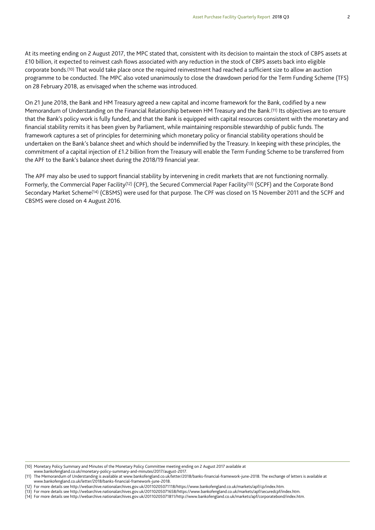At its meeting ending on 2 August 2017, the MPC stated that, consistent with its decision to maintain the stock of CBPS assets at £10 billion, it expected to reinvest cash flows associated with any reduction in the stock of CBPS assets back into eligible corporate bonds.(10) That would take place once the required reinvestment had reached a sufficient size to allow an auction programme to be conducted. The MPC also voted unanimously to close the drawdown period for the Term Funding Scheme (TFS) on 28 February 2018, as envisaged when the scheme was introduced.

On 21 June 2018, the Bank and HM Treasury agreed a new capital and income framework for the Bank, codified by a new Memorandum of Understanding on the Financial Relationship between HM Treasury and the Bank.(11) Its objectives are to ensure that the Bank's policy work is fully funded, and that the Bank is equipped with capital resources consistent with the monetary and financial stability remits it has been given by Parliament, while maintaining responsible stewardship of public funds. The framework captures a set of principles for determining which monetary policy or financial stability operations should be undertaken on the Bank's balance sheet and which should be indemnified by the Treasury. In keeping with these principles, the commitment of a capital injection of £1.2 billion from the Treasury will enable the Term Funding Scheme to be transferred from the APF to the Bank's balance sheet during the 2018/19 financial year.

The APF may also be used to support financial stability by intervening in credit markets that are not functioning normally. Formerly, the Commercial Paper Facility(12) (CPF), the Secured Commercial Paper Facility(13) (SCPF) and the Corporate Bond Secondary Market Scheme(14) (CBSMS) were used for that purpose. The CPF was closed on 15 November 2011 and the SCPF and CBSMS were closed on 4 August 2016.

<sup>(10)</sup> Monetary Policy Summary and Minutes of the Monetary Policy Committee meeting ending on 2 August 2017 available at

[www.bankofengland.co.uk/monetary-policy-summary-and-minutes/2017/august-2017.](www.bankofengland.co.uk/monetary-policy-summary-and-minutes/2017/august-2017)

<sup>(11)</sup> The Memorandum of Understanding is available at [www.bankofengland.co.uk/letter/2018/banks-financial-framework-june-2018.](www.bankofengland.co.uk/letter/2018/banks-financial-framework-june-2018) The exchange of letters is available at [www.bankofengland.co.uk/letter/2018/banks-financial-framework-june-2018.](www.bankofengland.co.uk/letter/2018/banks-financial-framework-june-2018)

<sup>(12)</sup> For more details see [http://webarchive.nationalarchives.gov.uk/20110205071118/https://www.bankofengland.co.uk/markets/apf/cp/index.htm.](http://webarchive.nationalarchives.gov.uk/20110205071118/https://www.bankofengland.co.uk/markets/apf/cp/index.htm)

<sup>(13)</sup> For more details see [http://webarchive.nationalarchives.gov.uk/20110205071658/https://www.bankofengland.co.uk/markets/apf/securedcpf/index.htm.](http://webarchive.nationalarchives.gov.uk/20110205071658/https://www.bankofengland.co.uk/markets/apf/securedcpf/index.htm)

<sup>(14)</sup> For more details see [http://webarchive.nationalarchives.gov.uk/20110205071811/http://www.bankofengland.co.uk/markets/apf/corporatebond/index.htm.](http://webarchive.nationalarchives.gov.uk/20110205071811/http://www.bankofengland.co.uk/markets/apf/corporatebond/index.htm)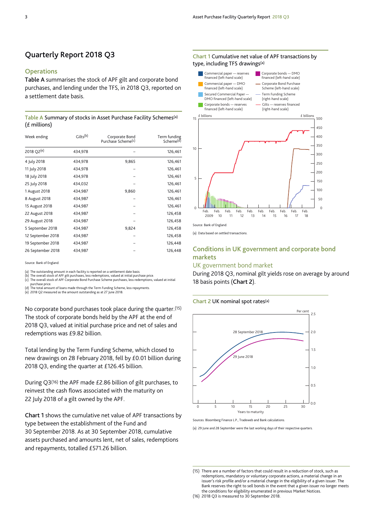## **Quarterly Report 2018 Q3**

## **Operations**

**Table A** summarises the stock of APF gilt and corporate bond purchases, and lending under the TFS, in 2018 Q3, reported on a settlement date basis.

#### **Table A** Summary of stocks in Asset Purchase Facility Schemes(a) (£ millions)

| Week ending<br>2018 Q2(e) | Gilts <sup>(b)</sup><br>434,978 | Corporate Bond<br>Purchase Scheme <sup>(c)</sup> | Term funding<br>Scheme <sup>(d)</sup><br>126,461 |
|---------------------------|---------------------------------|--------------------------------------------------|--------------------------------------------------|
|                           |                                 |                                                  |                                                  |
| 11 July 2018              | 434,978                         |                                                  | 126,461                                          |
| 18 July 2018              | 434,978                         |                                                  | 126,461                                          |
| 25 July 2018              | 434,032                         |                                                  | 126,461                                          |
| 1 August 2018             | 434,987                         | 9,860                                            | 126,461                                          |
| 8 August 2018             | 434,987                         |                                                  | 126,461                                          |
| 15 August 2018            | 434,987                         |                                                  | 126,461                                          |
| 22 August 2018            | 434,987                         |                                                  | 126,458                                          |
| 29 August 2018            | 434,987                         |                                                  | 126,458                                          |
| 5 September 2018          | 434,987                         | 9,824                                            | 126,458                                          |
| 12 September 2018         | 434,987                         |                                                  | 126,458                                          |
| 19 September 2018         | 434,987                         |                                                  | 126,448                                          |
| 26 September 2018         | 434,987                         |                                                  | 126,448                                          |

Source: Bank of England.

(a) The outstanding amount in each facility is reported on a settlement date basis.

The overall stock of APF gilt purchases, less redemptions, valued at initial purchase price. (c) The overall stock of APF Corporate Bond Purchase Scheme purchases, less redemptions, valued at initial

purchase price. (d) The total amount of loans made through the Term Funding Scheme, less repayments.

(e) 2018 Q2 measured as the amount outstanding as at 27 June 2018.

No corporate bond purchases took place during the quarter.(15) The stock of corporate bonds held by the APF at the end of 2018 Q3, valued at initial purchase price and net of sales and redemptions was £9.82 billion.

Total lending by the Term Funding Scheme, which closed to new drawings on 28 February 2018, fell by £0.01 billion during 2018 Q3, ending the quarter at £126.45 billion.

During Q3(16) the APF made £2.86 billion of gilt purchases, to reinvest the cash flows associated with the maturity on 22 July 2018 of a gilt owned by the APF.

**Chart 1** shows the cumulative net value of APF transactions by type between the establishment of the Fund and 30 September 2018. As at 30 September 2018, cumulative assets purchased and amounts lent, net of sales, redemptions and repayments, totalled £571.26 billion.





Source: Bank of England.

(a) Data based on settled transactions.

## **Conditions in UK government and corporate bond markets**

## UK government bond market

During 2018 Q3, nominal gilt yields rose on average by around 18 basis points (**Chart 2**).

#### **Chart 2** UK nominal spot rates(a)



Sources: Bloomberg Finance L.P., Tradeweb and Bank calculation

(a) 29 June and 28 September were the last working days of their respective quarters.

<sup>(15)</sup> There are a number of factors that could result in a reduction of stock, such as redemptions, mandatory or voluntary corporate actions, a material change in an issuer's risk profile and/or a material change in the eligibility of a given issuer. The Bank reserves the right to sell bonds in the event that a given issuer no longer meets the conditions for eligibility enumerated in previous Market Notices.